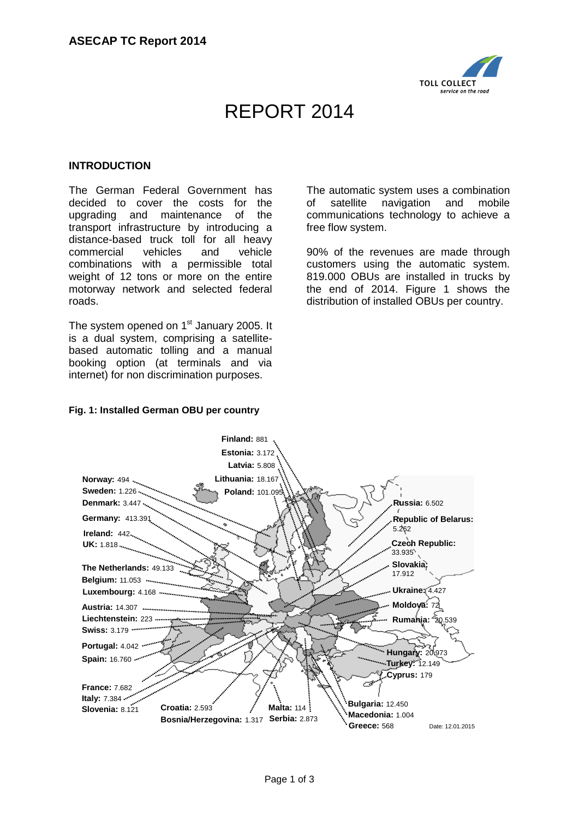

# REPORT 2014

### **INTRODUCTION**

The German Federal Government has decided to cover the costs for the upgrading and maintenance of the transport infrastructure by introducing a distance-based truck toll for all heavy commercial vehicles and vehicle combinations with a permissible total weight of 12 tons or more on the entire motorway network and selected federal roads.

The system opened on 1<sup>st</sup> January 2005. It is a dual system, comprising a satellitebased automatic tolling and a manual booking option (at terminals and via internet) for non discrimination purposes.

The automatic system uses a combination of satellite navigation and mobile communications technology to achieve a free flow system.

90% of the revenues are made through customers using the automatic system. 819.000 OBUs are installed in trucks by the end of 2014. Figure 1 shows the distribution of installed OBUs per country.

# **Fig. 1: Installed German OBU per country**

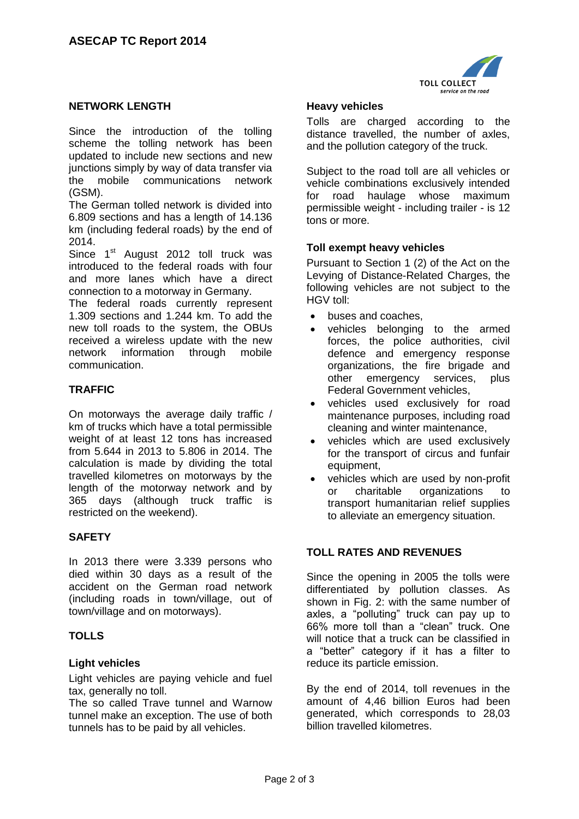

# **NETWORK LENGTH**

Since the introduction of the tolling scheme the tolling network has been updated to include new sections and new junctions simply by way of data transfer via the mobile communications network (GSM).

The German tolled network is divided into 6.809 sections and has a length of 14.136 km (including federal roads) by the end of 2014.

Since  $1<sup>st</sup>$  August 2012 toll truck was introduced to the federal roads with four and more lanes which have a direct connection to a motorway in Germany.

The federal roads currently represent 1.309 sections and 1.244 km. To add the new toll roads to the system, the OBUs received a wireless update with the new network information through mobile communication.

# **TRAFFIC**

On motorways the average daily traffic / km of trucks which have a total permissible weight of at least 12 tons has increased from 5.644 in 2013 to 5.806 in 2014. The calculation is made by dividing the total travelled kilometres on motorways by the length of the motorway network and by 365 days (although truck traffic is restricted on the weekend).

### **SAFETY**

In 2013 there were 3.339 persons who died within 30 days as a result of the accident on the German road network (including roads in town/village, out of town/village and on motorways).

#### **TOLLS**

#### **Light vehicles**

Light vehicles are paying vehicle and fuel tax, generally no toll.

The so called Trave tunnel and Warnow tunnel make an exception. The use of both tunnels has to be paid by all vehicles.

## **Heavy vehicles**

Tolls are charged according to the distance travelled, the number of axles, and the pollution category of the truck.

Subject to the road toll are all vehicles or vehicle combinations exclusively intended for road haulage whose maximum permissible weight - including trailer - is 12 tons or more.

#### **Toll exempt heavy vehicles**

Pursuant to Section 1 (2) of the Act on the Levying of Distance-Related Charges, the following vehicles are not subject to the HGV toll:

- buses and coaches,
- vehicles belonging to the armed forces, the police authorities, civil defence and emergency response organizations, the fire brigade and other emergency services, plus Federal Government vehicles,
- vehicles used exclusively for road maintenance purposes, including road cleaning and winter maintenance,
- vehicles which are used exclusively for the transport of circus and funfair equipment,
- vehicles which are used by non-profit or charitable organizations to transport humanitarian relief supplies to alleviate an emergency situation.

# **TOLL RATES AND REVENUES**

Since the opening in 2005 the tolls were differentiated by pollution classes. As shown in Fig. 2: with the same number of axles, a "polluting" truck can pay up to 66% more toll than a "clean" truck. One will notice that a truck can be classified in a "better" category if it has a filter to reduce its particle emission.

By the end of 2014, toll revenues in the amount of 4,46 billion Euros had been generated, which corresponds to 28,03 billion travelled kilometres.